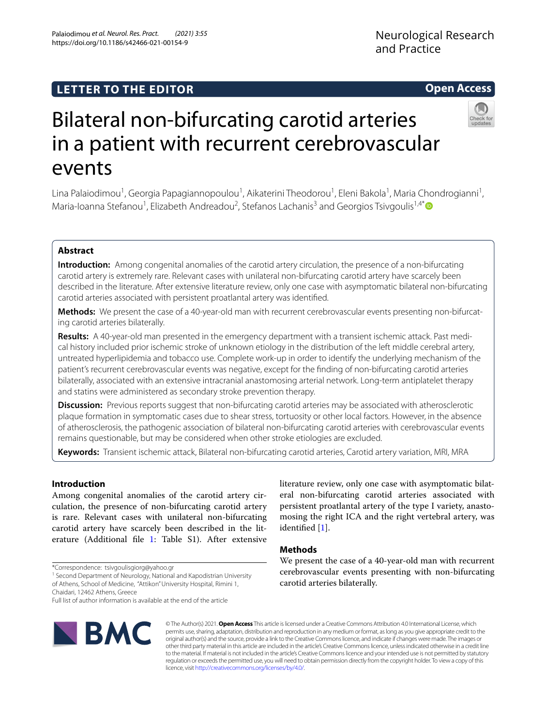## **LETTER TO THE EDITOR**

# Bilateral non-bifurcating carotid arteries in a patient with recurrent cerebrovascular events

Lina Palaiodimou<sup>1</sup>, Georgia Papagiannopoulou<sup>1</sup>, Aikaterini Theodorou<sup>1</sup>, Eleni Bakola<sup>1</sup>, Maria Chondrogianni<sup>1</sup>, Maria-Ioanna Stefanou<sup>1</sup>, Elizabeth Andreadou<sup>2</sup>, Stefanos Lachanis<sup>3</sup> and Georgios Tsivgoulis<sup>1,4[\\*](http://orcid.org/0000-0002-0640-3797)</sup>

#### **Abstract**

**Introduction:** Among congenital anomalies of the carotid artery circulation, the presence of a non-bifurcating carotid artery is extremely rare. Relevant cases with unilateral non-bifurcating carotid artery have scarcely been described in the literature. After extensive literature review, only one case with asymptomatic bilateral non-bifurcating carotid arteries associated with persistent proatlantal artery was identifed.

Methods: We present the case of a 40-year-old man with recurrent cerebrovascular events presenting non-bifurcating carotid arteries bilaterally.

**Results:** A 40-year-old man presented in the emergency department with a transient ischemic attack. Past medical history included prior ischemic stroke of unknown etiology in the distribution of the left middle cerebral artery, untreated hyperlipidemia and tobacco use. Complete work-up in order to identify the underlying mechanism of the patient's recurrent cerebrovascular events was negative, except for the fnding of non-bifurcating carotid arteries bilaterally, associated with an extensive intracranial anastomosing arterial network. Long-term antiplatelet therapy and statins were administered as secondary stroke prevention therapy.

**Discussion:** Previous reports suggest that non-bifurcating carotid arteries may be associated with atherosclerotic plaque formation in symptomatic cases due to shear stress, tortuosity or other local factors. However, in the absence of atherosclerosis, the pathogenic association of bilateral non-bifurcating carotid arteries with cerebrovascular events remains questionable, but may be considered when other stroke etiologies are excluded.

**Keywords:** Transient ischemic attack, Bilateral non-bifurcating carotid arteries, Carotid artery variation, MRI, MRA

#### **Introduction**

Among congenital anomalies of the carotid artery circulation, the presence of non-bifurcating carotid artery is rare. Relevant cases with unilateral non-bifurcating carotid artery have scarcely been described in the literature (Additional fle [1:](#page-3-0) Table S1). After extensive

\*Correspondence: tsivgoulisgiorg@yahoo.gr

<sup>1</sup> Second Department of Neurology, National and Kapodistrian University

© The Author(s) 2021. **Open Access** This article is licensed under a Creative Commons Attribution 4.0 International License, which permits use, sharing, adaptation, distribution and reproduction in any medium or format, as long as you give appropriate credit to the original author(s) and the source, provide a link to the Creative Commons licence, and indicate if changes were made. The images or other third party material in this article are included in the article's Creative Commons licence, unless indicated otherwise in a credit line to the material. If material is not included in the article's Creative Commons licence and your intended use is not permitted by statutory regulation or exceeds the permitted use, you will need to obtain permission directly from the copyright holder. To view a copy of this licence, visit [http://creativecommons.org/licenses/by/4.0/.](http://creativecommons.org/licenses/by/4.0/)

carotid arteries bilaterally.

identifed [\[1](#page-3-1)].

**Methods**

literature review, only one case with asymptomatic bilateral non-bifurcating carotid arteries associated with persistent proatlantal artery of the type I variety, anastomosing the right ICA and the right vertebral artery, was

We present the case of a 40-year-old man with recurrent cerebrovascular events presenting with non-bifurcating

of Athens, School of Medicine, "Attikon" University Hospital, Rimini 1, Chaidari, 12462 Athens, Greece





### **Open Access**

Full list of author information is available at the end of the article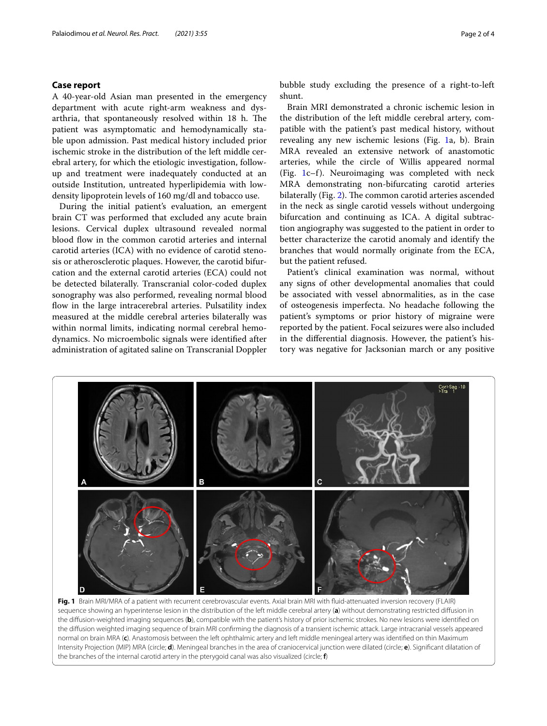#### **Case report**

A 40-year-old Asian man presented in the emergency department with acute right-arm weakness and dysarthria, that spontaneously resolved within 18 h. The patient was asymptomatic and hemodynamically stable upon admission. Past medical history included prior ischemic stroke in the distribution of the left middle cerebral artery, for which the etiologic investigation, followup and treatment were inadequately conducted at an outside Institution, untreated hyperlipidemia with lowdensity lipoprotein levels of 160 mg/dl and tobacco use.

During the initial patient's evaluation, an emergent brain CT was performed that excluded any acute brain lesions. Cervical duplex ultrasound revealed normal blood flow in the common carotid arteries and internal carotid arteries (ICA) with no evidence of carotid stenosis or atherosclerotic plaques. However, the carotid bifurcation and the external carotid arteries (ECA) could not be detected bilaterally. Transcranial color-coded duplex sonography was also performed, revealing normal blood flow in the large intracerebral arteries. Pulsatility index measured at the middle cerebral arteries bilaterally was within normal limits, indicating normal cerebral hemodynamics. No microembolic signals were identifed after administration of agitated saline on Transcranial Doppler bubble study excluding the presence of a right-to-left shunt.

Brain MRI demonstrated a chronic ischemic lesion in the distribution of the left middle cerebral artery, compatible with the patient's past medical history, without revealing any new ischemic lesions (Fig. [1](#page-1-0)a, b). Brain MRA revealed an extensive network of anastomotic arteries, while the circle of Willis appeared normal (Fig. [1c](#page-1-0)–f). Neuroimaging was completed with neck MRA demonstrating non-bifurcating carotid arteries bilaterally (Fig. [2](#page-2-0)). The common carotid arteries ascended in the neck as single carotid vessels without undergoing bifurcation and continuing as ICA. A digital subtraction angiography was suggested to the patient in order to better characterize the carotid anomaly and identify the branches that would normally originate from the ECA, but the patient refused.

Patient's clinical examination was normal, without any signs of other developmental anomalies that could be associated with vessel abnormalities, as in the case of osteogenesis imperfecta. No headache following the patient's symptoms or prior history of migraine were reported by the patient. Focal seizures were also included in the diferential diagnosis. However, the patient's history was negative for Jacksonian march or any positive



<span id="page-1-0"></span>**Fig. 1** Brain MRI/MRA of a patient with recurrent cerebrovascular events. Axial brain MRI with fuid-attenuated inversion recovery (FLAIR) sequence showing an hyperintense lesion in the distribution of the left middle cerebral artery (**a**) without demonstrating restricted difusion in the difusion-weighted imaging sequences (**b**), compatible with the patient's history of prior ischemic strokes. No new lesions were identifed on the difusion weighted imaging sequence of brain MRI confrming the diagnosis of a transient ischemic attack. Large intracranial vessels appeared normal on brain MRA (**c**). Anastomosis between the left ophthalmic artery and left middle meningeal artery was identifed on thin Maximum Intensity Projection (MIP) MRA (circle; **d**). Meningeal branches in the area of craniocervical junction were dilated (circle; **e**). Signifcant dilatation of the branches of the internal carotid artery in the pterygoid canal was also visualized (circle; **f**)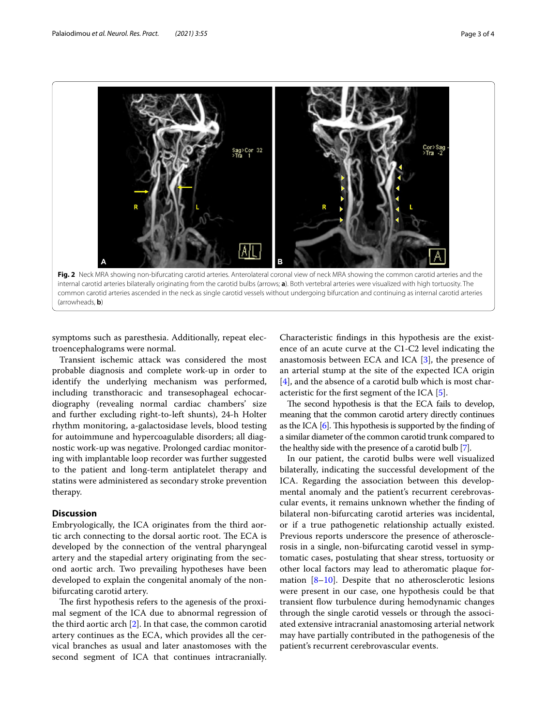

<span id="page-2-0"></span>internal carotid arteries bilaterally originating from the carotid bulbs (arrows; **a**). Both vertebral arteries were visualized with high tortuosity. The common carotid arteries ascended in the neck as single carotid vessels without undergoing bifurcation and continuing as internal carotid arteries (arrowheads, **b**)

symptoms such as paresthesia. Additionally, repeat electroencephalograms were normal.

Transient ischemic attack was considered the most probable diagnosis and complete work-up in order to identify the underlying mechanism was performed, including transthoracic and transesophageal echocardiography (revealing normal cardiac chambers' size and further excluding right-to-left shunts), 24-h Holter rhythm monitoring, a-galactosidase levels, blood testing for autoimmune and hypercoagulable disorders; all diagnostic work-up was negative. Prolonged cardiac monitoring with implantable loop recorder was further suggested to the patient and long-term antiplatelet therapy and statins were administered as secondary stroke prevention therapy.

#### **Discussion**

Embryologically, the ICA originates from the third aortic arch connecting to the dorsal aortic root. The ECA is developed by the connection of the ventral pharyngeal artery and the stapedial artery originating from the second aortic arch. Two prevailing hypotheses have been developed to explain the congenital anomaly of the nonbifurcating carotid artery.

The first hypothesis refers to the agenesis of the proximal segment of the ICA due to abnormal regression of the third aortic arch [[2\]](#page-3-2). In that case, the common carotid artery continues as the ECA, which provides all the cervical branches as usual and later anastomoses with the second segment of ICA that continues intracranially.

Characteristic fndings in this hypothesis are the existence of an acute curve at the C1-C2 level indicating the anastomosis between ECA and ICA [\[3](#page-3-3)], the presence of an arterial stump at the site of the expected ICA origin [[4\]](#page-3-4), and the absence of a carotid bulb which is most characteristic for the frst segment of the ICA [\[5](#page-3-5)].

The second hypothesis is that the ECA fails to develop, meaning that the common carotid artery directly continues as the ICA  $[6]$ . This hypothesis is supported by the finding of a similar diameter of the common carotid trunk compared to the healthy side with the presence of a carotid bulb [\[7\]](#page-3-7).

In our patient, the carotid bulbs were well visualized bilaterally, indicating the successful development of the ICA. Regarding the association between this developmental anomaly and the patient's recurrent cerebrovascular events, it remains unknown whether the fnding of bilateral non-bifurcating carotid arteries was incidental, or if a true pathogenetic relationship actually existed. Previous reports underscore the presence of atherosclerosis in a single, non-bifurcating carotid vessel in symptomatic cases, postulating that shear stress, tortuosity or other local factors may lead to atheromatic plaque formation [[8–](#page-3-8)[10](#page-3-9)]. Despite that no atherosclerotic lesions were present in our case, one hypothesis could be that transient fow turbulence during hemodynamic changes through the single carotid vessels or through the associated extensive intracranial anastomosing arterial network may have partially contributed in the pathogenesis of the patient's recurrent cerebrovascular events.